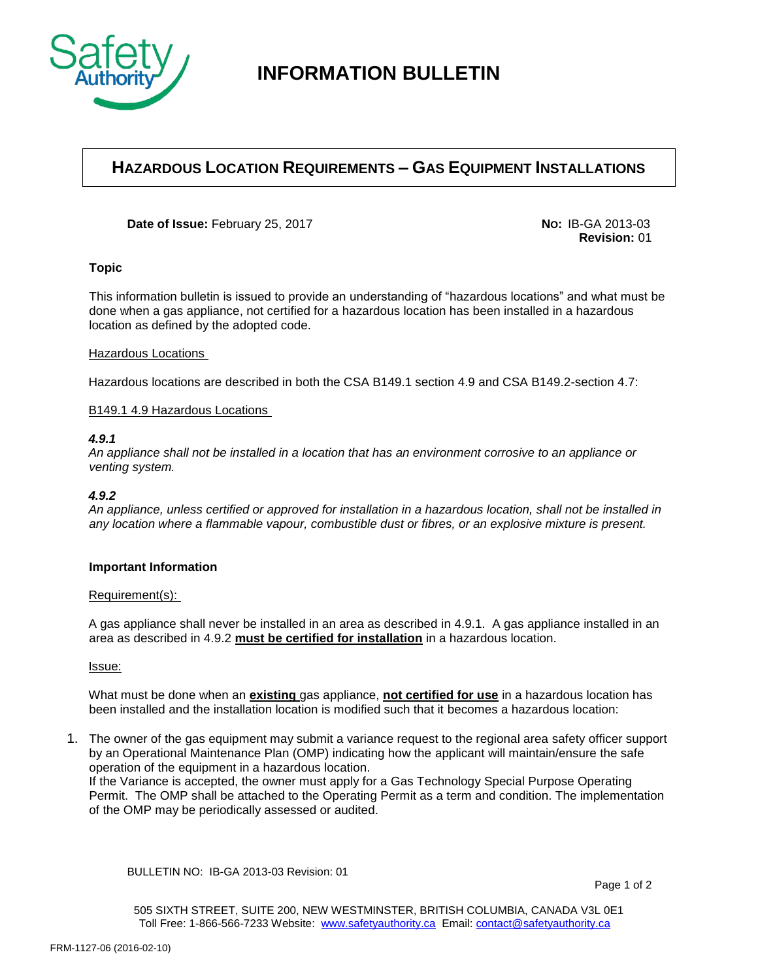

# **INFORMATION BULLETIN**

## **HAZARDOUS LOCATION REQUIREMENTS – GAS EQUIPMENT INSTALLATIONS**

**Date of Issue:** February 25, 2017 **No:** IB-GA 2013-03

**Revision:** 01

### **Topic**

This information bulletin is issued to provide an understanding of "hazardous locations" and what must be done when a gas appliance, not certified for a hazardous location has been installed in a hazardous location as defined by the adopted code.

#### Hazardous Locations

Hazardous locations are described in both the CSA B149.1 section 4.9 and CSA B149.2-section 4.7:

### B149.1 4.9 Hazardous Locations

#### *4.9.1*

*An appliance shall not be installed in a location that has an environment corrosive to an appliance or venting system.* 

#### *4.9.2*

*An appliance, unless certified or approved for installation in a hazardous location, shall not be installed in any location where a flammable vapour, combustible dust or fibres, or an explosive mixture is present.* 

#### **Important Information**

#### Requirement(s):

A gas appliance shall never be installed in an area as described in 4.9.1. A gas appliance installed in an area as described in 4.9.2 **must be certified for installation** in a hazardous location.

Issue:

What must be done when an **existing** gas appliance, **not certified for use** in a hazardous location has been installed and the installation location is modified such that it becomes a hazardous location:

1. The owner of the gas equipment may submit a variance request to the regional area safety officer support by an Operational Maintenance Plan (OMP) indicating how the applicant will maintain/ensure the safe operation of the equipment in a hazardous location.

If the Variance is accepted, the owner must apply for a Gas Technology Special Purpose Operating Permit. The OMP shall be attached to the Operating Permit as a term and condition. The implementation of the OMP may be periodically assessed or audited.

BULLETIN NO: IB-GA 2013-03 Revision: 01

505 SIXTH STREET, SUITE 200, NEW WESTMINSTER, BRITISH COLUMBIA, CANADA V3L 0E1 Toll Free: 1-866-566-7233 Website: [www.safetyauthority.ca](http://www.safetyauthority.ca/) Email[: contact@safetyauthority.ca](mailto:contact@safetyauthority.ca)